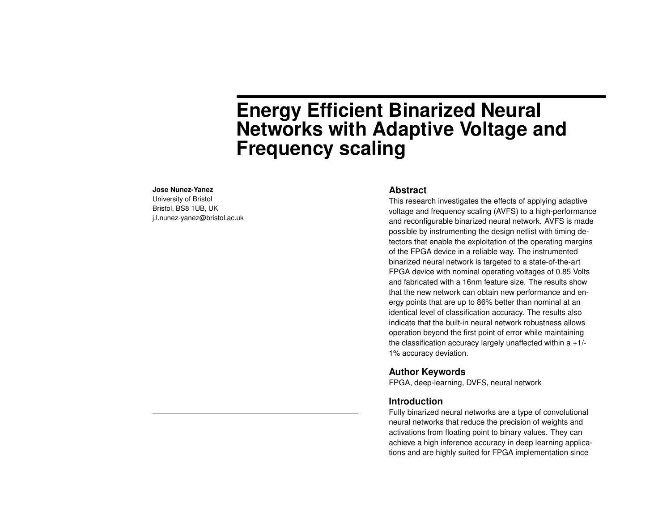# **Energy Efficient Binarized Neural Networks with Adaptive Voltage and Frequency scaling**

#### **Jose Nunez-Yanez**

University of Bristol Bristol, BS8 1UB, UK j.l.nunez-yanez@bristol.ac.uk

#### **Abstract**

This research investigates the effects of applying adaptive voltage and frequency scaling (AVFS) to a high-performance and reconfigurable binarized neural network. AVFS is made possible by instrumenting the design netlist with timing detectors that enable the exploitation of the operating margins of the FPGA device in a reliable way. The instrumented binarized neural network is targeted to a state-of-the-art FPGA device with nominal operating voltages of 0.85 Volts and fabricated with a 16nm feature size. The results show that the new network can obtain new performance and energy points that are up to 86% better than nominal at an identical level of classification accuracy. The results also indicate that the built-in neural network robustness allows operation beyond the first point of error while maintaining the classification accuracy largely unaffected within  $a + 1$ /-1% accuracy deviation.

#### **Author Keywords**

FPGA, deep-learning, DVFS, neural network

#### **Introduction**

Fully binarized neural networks are a type of convolutional neural networks that reduce the precision of weights and activations from floating point to binary values. They can achieve a high inference accuracy in deep learning applications and are highly suited for FPGA implementation since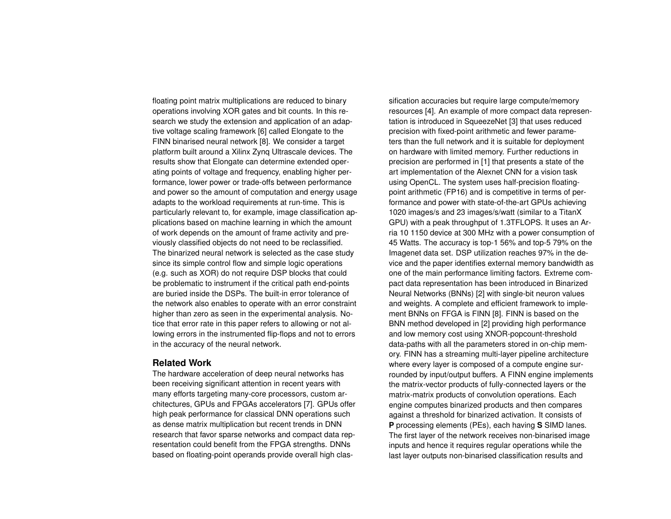floating point matrix multiplications are reduced to binary operations involving XOR gates and bit counts. In this research we study the extension and application of an adaptive voltage scaling framework [\[6\]](#page-8-0) called Elongate to the FINN binarised neural network [\[8\]](#page-8-1). We consider a target platform built around a Xilinx Zynq Ultrascale devices. The results show that Elongate can determine extended operating points of voltage and frequency, enabling higher performance, lower power or trade-offs between performance and power so the amount of computation and energy usage adapts to the workload requirements at run-time. This is particularly relevant to, for example, image classification applications based on machine learning in which the amount of work depends on the amount of frame activity and previously classified objects do not need to be reclassified. The binarized neural network is selected as the case study since its simple control flow and simple logic operations (e.g. such as XOR) do not require DSP blocks that could be problematic to instrument if the critical path end-points are buried inside the DSPs. The built-in error tolerance of the network also enables to operate with an error constraint higher than zero as seen in the experimental analysis. Notice that error rate in this paper refers to allowing or not allowing errors in the instrumented flip-flops and not to errors in the accuracy of the neural network.

#### **Related Work**

The hardware acceleration of deep neural networks has been receiving significant attention in recent years with many efforts targeting many-core processors, custom architectures, GPUs and FPGAs accelerators [\[7\]](#page-8-2). GPUs offer high peak performance for classical DNN operations such as dense matrix multiplication but recent trends in DNN research that favor sparse networks and compact data representation could benefit from the FPGA strengths. DNNs based on floating-point operands provide overall high classification accuracies but require large compute/memory resources [\[4\]](#page-8-3). An example of more compact data representation is introduced in SqueezeNet [\[3\]](#page-8-4) that uses reduced precision with fixed-point arithmetic and fewer parameters than the full network and it is suitable for deployment on hardware with limited memory. Further reductions in precision are performed in [\[1\]](#page-8-5) that presents a state of the art implementation of the Alexnet CNN for a vision task using OpenCL. The system uses half-precision floatingpoint arithmetic (FP16) and is competitive in terms of performance and power with state-of-the-art GPUs achieving 1020 images/s and 23 images/s/watt (similar to a TitanX GPU) with a peak throughput of 1.3TFLOPS. It uses an Arria 10 1150 device at 300 MHz with a power consumption of 45 Watts. The accuracy is top-1 56% and top-5 79% on the Imagenet data set. DSP utilization reaches 97% in the device and the paper identifies external memory bandwidth as one of the main performance limiting factors. Extreme compact data representation has been introduced in Binarized Neural Networks (BNNs) [\[2\]](#page-8-6) with single-bit neuron values and weights. A complete and efficient framework to implement BNNs on FFGA is FINN [\[8\]](#page-8-1). FINN is based on the BNN method developed in [\[2\]](#page-8-6) providing high performance and low memory cost using XNOR-popcount-threshold data-paths with all the parameters stored in on-chip memory. FINN has a streaming multi-layer pipeline architecture where every layer is composed of a compute engine surrounded by input/output buffers. A FINN engine implements the matrix-vector products of fully-connected layers or the matrix-matrix products of convolution operations. Each engine computes binarized products and then compares against a threshold for binarized activation. It consists of **P** processing elements (PEs), each having **S** SIMD lanes. The first layer of the network receives non-binarised image inputs and hence it requires regular operations while the last layer outputs non-binarised classification results and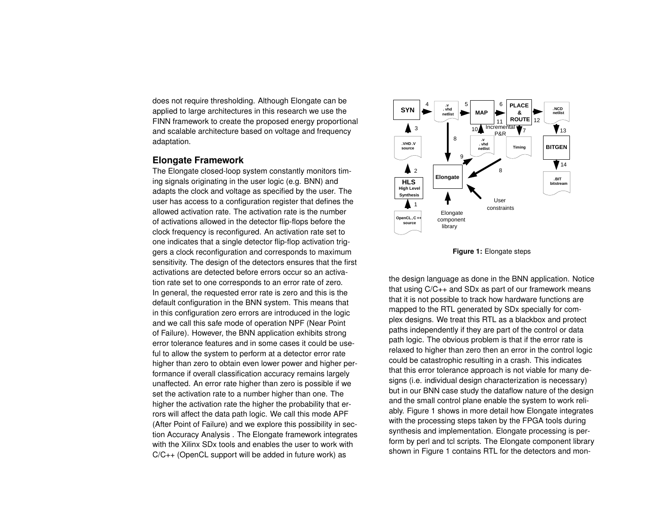does not require thresholding. Although Elongate can be applied to large architectures in this research we use the FINN framework to create the proposed energy proportional and scalable architecture based on voltage and frequency adaptation.

#### **Elongate Framework**

The Elongate closed-loop system constantly monitors timing signals originating in the user logic (e.g. BNN) and adapts the clock and voltage as specified by the user. The user has access to a configuration register that defines the allowed activation rate. The activation rate is the number of activations allowed in the detector flip-flops before the clock frequency is reconfigured. An activation rate set to one indicates that a single detector flip-flop activation triggers a clock reconfiguration and corresponds to maximum sensitivity. The design of the detectors ensures that the first activations are detected before errors occur so an activation rate set to one corresponds to an error rate of zero. In general, the requested error rate is zero and this is the default configuration in the BNN system. This means that in this configuration zero errors are introduced in the logic and we call this safe mode of operation NPF (Near Point of Failure). However, the BNN application exhibits strong error tolerance features and in some cases it could be useful to allow the system to perform at a detector error rate higher than zero to obtain even lower power and higher performance if overall classification accuracy remains largely unaffected. An error rate higher than zero is possible if we set the activation rate to a number higher than one. The higher the activation rate the higher the probability that errors will affect the data path logic. We call this mode APF (After Point of Failure) and we explore this possibility in section Accuracy Analysis . The Elongate framework integrates with the Xilinx SDx tools and enables the user to work with C/C++ (OpenCL support will be added in future work) as

<span id="page-2-0"></span>

**Figure 1:** Elongate steps

the design language as done in the BNN application. Notice that using C/C++ and SDx as part of our framework means that it is not possible to track how hardware functions are mapped to the RTL generated by SDx specially for complex designs. We treat this RTL as a blackbox and protect paths independently if they are part of the control or data path logic. The obvious problem is that if the error rate is relaxed to higher than zero then an error in the control logic could be catastrophic resulting in a crash. This indicates that this error tolerance approach is not viable for many designs (i.e. individual design characterization is necessary) but in our BNN case study the dataflow nature of the design and the small control plane enable the system to work reliably. Figure [1](#page-2-0) shows in more detail how Elongate integrates with the processing steps taken by the FPGA tools during synthesis and implementation. Elongate processing is perform by perl and tcl scripts. The Elongate component library shown in Figure [1](#page-2-0) contains RTL for the detectors and mon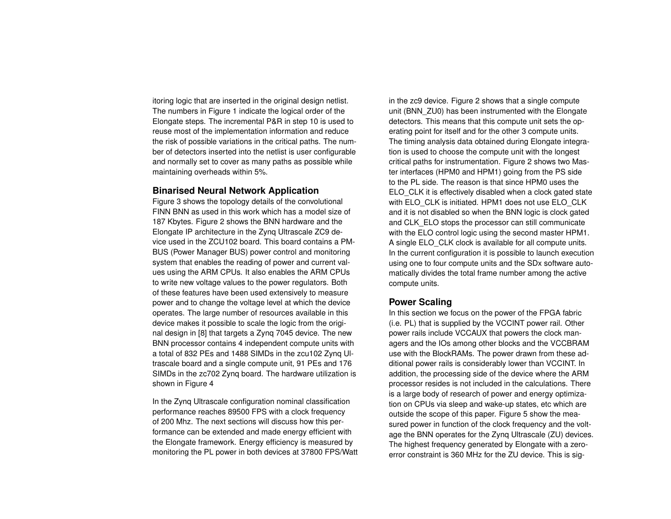itoring logic that are inserted in the original design netlist. The numbers in Figure [1](#page-2-0) indicate the logical order of the Elongate steps. The incremental P&R in step 10 is used to reuse most of the implementation information and reduce the risk of possible variations in the critical paths. The number of detectors inserted into the netlist is user configurable and normally set to cover as many paths as possible while maintaining overheads within 5%.

#### **Binarised Neural Network Application**

Figure [3](#page-5-0) shows the topology details of the convolutional FINN BNN as used in this work which has a model size of 187 Kbytes. Figure [2](#page-4-0) shows the BNN hardware and the Elongate IP architecture in the Zynq Ultrascale ZC9 device used in the ZCU102 board. This board contains a PM-BUS (Power Manager BUS) power control and monitoring system that enables the reading of power and current values using the ARM CPUs. It also enables the ARM CPUs to write new voltage values to the power regulators. Both of these features have been used extensively to measure power and to change the voltage level at which the device operates. The large number of resources available in this device makes it possible to scale the logic from the original design in [\[8\]](#page-8-1) that targets a Zynq 7045 device. The new BNN processor contains 4 independent compute units with a total of 832 PEs and 1488 SIMDs in the zcu102 Zynq Ultrascale board and a single compute unit, 91 PEs and 176 SIMDs in the zc702 Zynq board. The hardware utilization is shown in Figure [4](#page-5-1)

In the Zynq Ultrascale configuration nominal classification performance reaches 89500 FPS with a clock frequency of 200 Mhz. The next sections will discuss how this performance can be extended and made energy efficient with the Elongate framework. Energy efficiency is measured by monitoring the PL power in both devices at 37800 FPS/Watt in the zc9 device. Figure [2](#page-4-0) shows that a single compute unit (BNN\_ZU0) has been instrumented with the Elongate detectors. This means that this compute unit sets the operating point for itself and for the other 3 compute units. The timing analysis data obtained during Elongate integration is used to choose the compute unit with the longest critical paths for instrumentation. Figure [2](#page-4-0) shows two Master interfaces (HPM0 and HPM1) going from the PS side to the PL side. The reason is that since HPM0 uses the ELO\_CLK it is effectively disabled when a clock gated state with ELO\_CLK is initiated. HPM1 does not use ELO\_CLK and it is not disabled so when the BNN logic is clock gated and CLK ELO stops the processor can still communicate with the ELO control logic using the second master HPM1. A single ELO CLK clock is available for all compute units. In the current configuration it is possible to launch execution using one to four compute units and the SDx software automatically divides the total frame number among the active compute units.

#### **Power Scaling**

In this section we focus on the power of the FPGA fabric (i.e. PL) that is supplied by the VCCINT power rail. Other power rails include VCCAUX that powers the clock managers and the IOs among other blocks and the VCCBRAM use with the BlockRAMs. The power drawn from these additional power rails is considerably lower than VCCINT. In addition, the processing side of the device where the ARM processor resides is not included in the calculations. There is a large body of research of power and energy optimization on CPUs via sleep and wake-up states, etc which are outside the scope of this paper. Figure [5](#page-5-2) show the measured power in function of the clock frequency and the voltage the BNN operates for the Zynq Ultrascale (ZU) devices. The highest frequency generated by Elongate with a zeroerror constraint is 360 MHz for the ZU device. This is sig-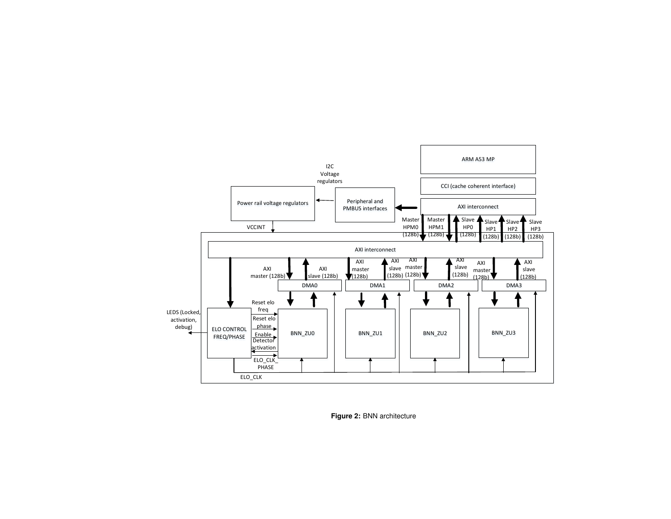<span id="page-4-0"></span>

**Figure 2:** BNN architecture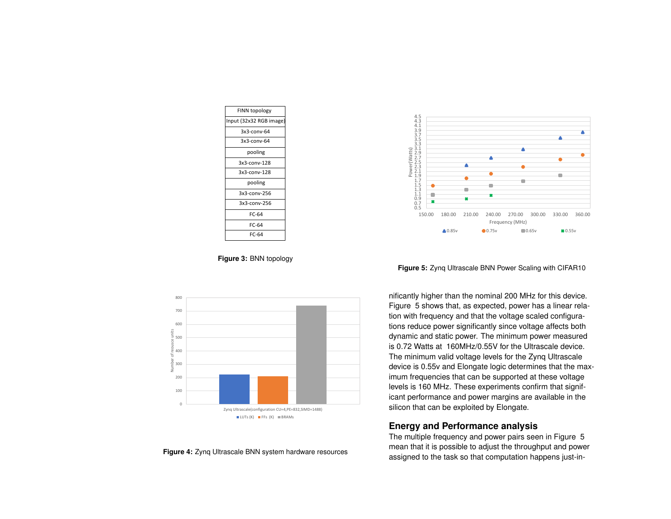<span id="page-5-0"></span>

| FINN topology           |
|-------------------------|
| Input (32x32 RGB image) |
| $3x3$ -conv-64          |
| 3x3-conv-64             |
| pooling                 |
| 3x3-conv-128            |
| $3x3$ -conv-128         |
| pooling                 |
| $3x3$ -conv-256         |
| $3x3$ -conv-256         |
| FC-64                   |
| FC-64                   |
| FC-64                   |

**Figure 3:** BNN topology

<span id="page-5-1"></span>

#### **Figure 4:** Zynq Ultrascale BNN system hardware resources

<span id="page-5-2"></span>

**Figure 5:** Zynq Ultrascale BNN Power Scaling with CIFAR10

nificantly higher than the nominal 200 MHz for this device. Figure [5](#page-5-2) shows that, as expected, power has a linear relation with frequency and that the voltage scaled configurations reduce power significantly since voltage affects both dynamic and static power. The minimum power measured is 0.72 Watts at 160MHz/0.55V for the Ultrascale device. The minimum valid voltage levels for the Zynq Ultrascale device is 0.55v and Elongate logic determines that the maximum frequencies that can be supported at these voltage levels is 160 MHz. These experiments confirm that significant performance and power margins are available in the silicon that can be exploited by Elongate.

## **Energy and Performance analysis**

The multiple frequency and power pairs seen in Figure [5](#page-5-2) mean that it is possible to adjust the throughput and power assigned to the task so that computation happens just-in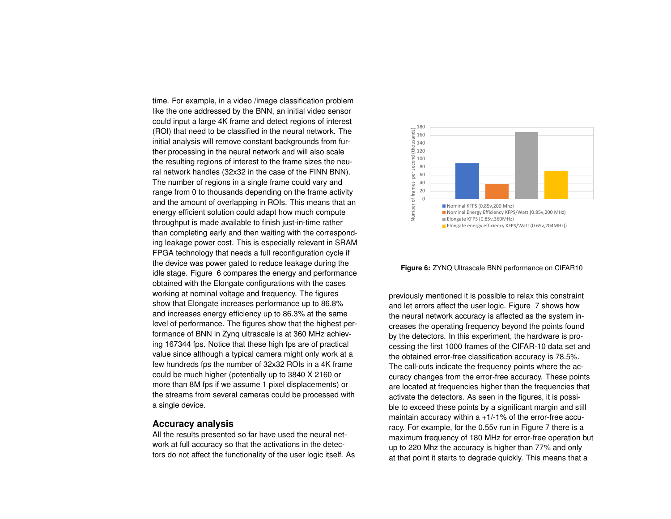time. For example, in a video /image classification problem like the one addressed by the BNN, an initial video sensor could input a large 4K frame and detect regions of interest (ROI) that need to be classified in the neural network. The initial analysis will remove constant backgrounds from further processing in the neural network and will also scale the resulting regions of interest to the frame sizes the neural network handles (32x32 in the case of the FINN BNN). The number of regions in a single frame could vary and range from 0 to thousands depending on the frame activity and the amount of overlapping in ROIs. This means that an energy efficient solution could adapt how much compute throughput is made available to finish just-in-time rather than completing early and then waiting with the corresponding leakage power cost. This is especially relevant in SRAM FPGA technology that needs a full reconfiguration cycle if the device was power gated to reduce leakage during the idle stage. Figure [6](#page-6-0) compares the energy and performance obtained with the Elongate configurations with the cases working at nominal voltage and frequency. The figures show that Elongate increases performance up to 86.8% and increases energy efficiency up to 86.3% at the same level of performance. The figures show that the highest performance of BNN in Zynq ultrascale is at 360 MHz achieving 167344 fps. Notice that these high fps are of practical value since although a typical camera might only work at a few hundreds fps the number of 32x32 ROIs in a 4K frame could be much higher (potentially up to 3840 X 2160 or more than 8M fps if we assume 1 pixel displacements) or the streams from several cameras could be processed with a single device.

#### **Accuracy analysis**

All the results presented so far have used the neural network at full accuracy so that the activations in the detectors do not affect the functionality of the user logic itself. As

<span id="page-6-0"></span>

**Figure 6:** ZYNQ Ultrascale BNN performance on CIFAR10

previously mentioned it is possible to relax this constraint and let errors affect the user logic. Figure [7](#page-7-0) shows how the neural network accuracy is affected as the system increases the operating frequency beyond the points found by the detectors. In this experiment, the hardware is processing the first 1000 frames of the CIFAR-10 data set and the obtained error-free classification accuracy is 78.5%. The call-outs indicate the frequency points where the accuracy changes from the error-free accuracy. These points are located at frequencies higher than the frequencies that activate the detectors. As seen in the figures, it is possible to exceed these points by a significant margin and still maintain accuracy within  $a + 1/1$ % of the error-free accuracy. For example, for the 0.55v run in Figure [7](#page-7-0) there is a maximum frequency of 180 MHz for error-free operation but up to 220 Mhz the accuracy is higher than 77% and only at that point it starts to degrade quickly. This means that a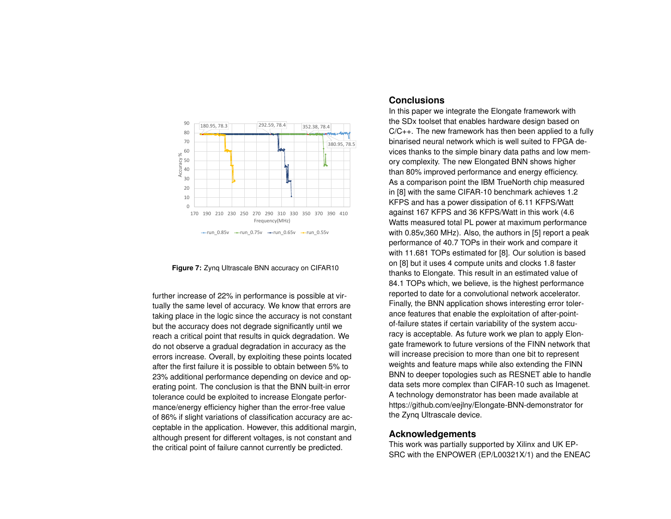<span id="page-7-0"></span>

**Figure 7:** Zynq Ultrascale BNN accuracy on CIFAR10

further increase of 22% in performance is possible at virtually the same level of accuracy. We know that errors are taking place in the logic since the accuracy is not constant but the accuracy does not degrade significantly until we reach a critical point that results in quick degradation. We do not observe a gradual degradation in accuracy as the errors increase. Overall, by exploiting these points located after the first failure it is possible to obtain between 5% to 23% additional performance depending on device and operating point. The conclusion is that the BNN built-in error tolerance could be exploited to increase Elongate performance/energy efficiency higher than the error-free value of 86% if slight variations of classification accuracy are acceptable in the application. However, this additional margin, although present for different voltages, is not constant and the critical point of failure cannot currently be predicted.

### **Conclusions**

In this paper we integrate the Elongate framework with the SDx toolset that enables hardware design based on C/C++. The new framework has then been applied to a fully binarised neural network which is well suited to FPGA devices thanks to the simple binary data paths and low memory complexity. The new Elongated BNN shows higher than 80% improved performance and energy efficiency. As a comparison point the IBM TrueNorth chip measured in [\[8\]](#page-8-1) with the same CIFAR-10 benchmark achieves 1.2 KFPS and has a power dissipation of 6.11 KFPS/Watt against 167 KFPS and 36 KFPS/Watt in this work (4.6 Watts measured total PL power at maximum performance with 0.85v,360 MHz). Also, the authors in [\[5\]](#page-8-7) report a peak performance of 40.7 TOPs in their work and compare it with 11.681 TOPs estimated for [\[8\]](#page-8-1). Our solution is based on [\[8\]](#page-8-1) but it uses 4 compute units and clocks 1.8 faster thanks to Elongate. This result in an estimated value of 84.1 TOPs which, we believe, is the highest performance reported to date for a convolutional network accelerator. Finally, the BNN application shows interesting error tolerance features that enable the exploitation of after-pointof-failure states if certain variability of the system accuracy is acceptable. As future work we plan to apply Elongate framework to future versions of the FINN network that will increase precision to more than one bit to represent weights and feature maps while also extending the FINN BNN to deeper topologies such as RESNET able to handle data sets more complex than CIFAR-10 such as Imagenet. A technology demonstrator has been made available at https://github.com/eejlny/Elongate-BNN-demonstrator for the Zynq Ultrascale device.

## **Acknowledgements**

This work was partially supported by Xilinx and UK EP-SRC with the ENPOWER (EP/L00321X/1) and the ENEAC